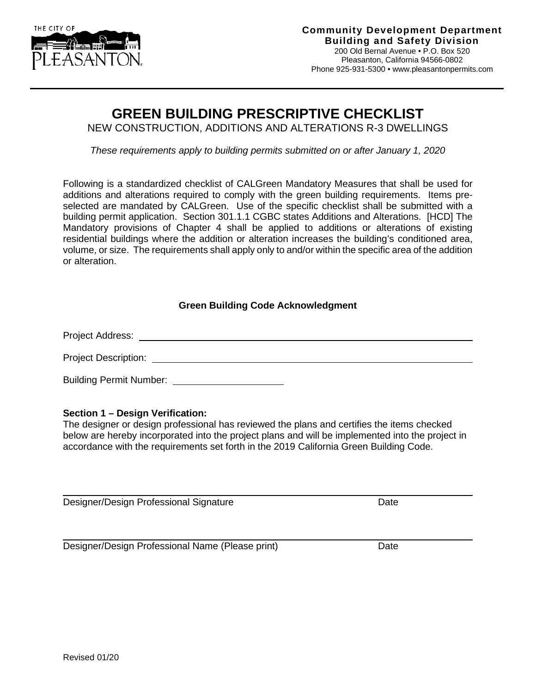

 $\overline{a}$ 

# **GREEN BUILDING PRESCRIPTIVE CHECKLIST**

NEW CONSTRUCTION, ADDITIONS AND ALTERATIONS R-3 DWELLINGS

*These requirements apply to building permits submitted on or after January 1, 2020*

Following is a standardized checklist of CALGreen Mandatory Measures that shall be used for additions and alterations required to comply with the green building requirements. Items preselected are mandated by CALGreen. Use of the specific checklist shall be submitted with a building permit application. Section 301.1.1 CGBC states Additions and Alterations. [HCD] The Mandatory provisions of Chapter 4 shall be applied to additions or alterations of existing residential buildings where the addition or alteration increases the building's conditioned area, volume, or size. The requirements shall apply only to and/or within the specific area of the addition or alteration.

## **Green Building Code Acknowledgment**

Project Address:

Project Description:

Building Permit Number:

### **Section 1 – Design Verification:**

The designer or design professional has reviewed the plans and certifies the items checked below are hereby incorporated into the project plans and will be implemented into the project in accordance with the requirements set forth in the 2019 California Green Building Code.

Designer/Design Professional Signature Date Date

Designer/Design Professional Name (Please print) Date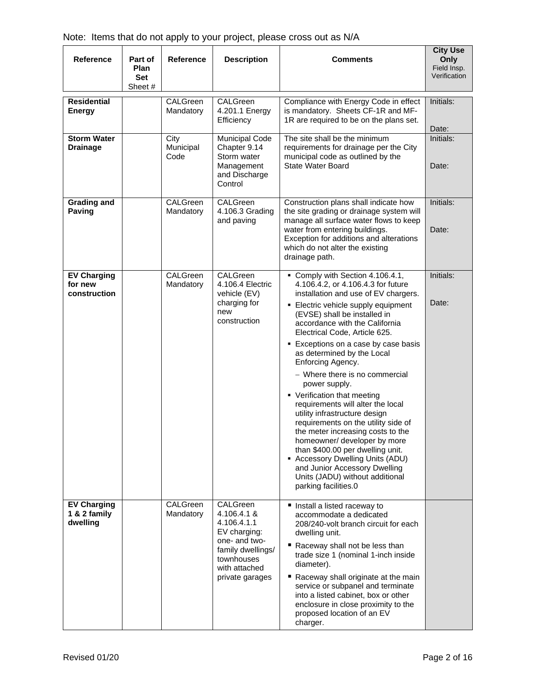| <b>Reference</b>                               | Part of<br>Plan<br>Set<br>Sheet # | <b>Reference</b>          | <b>Description</b>                                                                                                                             | <b>Comments</b>                                                                                                                                                                                                                                                                                                                                                                                                                                                                                                                                                                                                                                                                                                                                                                         | <b>City Use</b><br>Only<br>Field Insp.<br>Verification |
|------------------------------------------------|-----------------------------------|---------------------------|------------------------------------------------------------------------------------------------------------------------------------------------|-----------------------------------------------------------------------------------------------------------------------------------------------------------------------------------------------------------------------------------------------------------------------------------------------------------------------------------------------------------------------------------------------------------------------------------------------------------------------------------------------------------------------------------------------------------------------------------------------------------------------------------------------------------------------------------------------------------------------------------------------------------------------------------------|--------------------------------------------------------|
| <b>Residential</b><br><b>Energy</b>            |                                   | CALGreen<br>Mandatory     | CALGreen<br>4.201.1 Energy<br>Efficiency                                                                                                       | Compliance with Energy Code in effect<br>is mandatory. Sheets CF-1R and MF-<br>1R are required to be on the plans set.                                                                                                                                                                                                                                                                                                                                                                                                                                                                                                                                                                                                                                                                  | Initials:<br>Date:                                     |
| <b>Storm Water</b><br><b>Drainage</b>          |                                   | City<br>Municipal<br>Code | Municipal Code<br>Chapter 9.14<br>Storm water<br>Management<br>and Discharge<br>Control                                                        | The site shall be the minimum<br>requirements for drainage per the City<br>municipal code as outlined by the<br><b>State Water Board</b>                                                                                                                                                                                                                                                                                                                                                                                                                                                                                                                                                                                                                                                | Initials:<br>Date:                                     |
| <b>Grading and</b><br>Paving                   |                                   | CALGreen<br>Mandatory     | CALGreen<br>4.106.3 Grading<br>and paving                                                                                                      | Construction plans shall indicate how<br>the site grading or drainage system will<br>manage all surface water flows to keep<br>water from entering buildings.<br>Exception for additions and alterations<br>which do not alter the existing<br>drainage path.                                                                                                                                                                                                                                                                                                                                                                                                                                                                                                                           | Initials:<br>Date:                                     |
| <b>EV Charging</b><br>for new<br>construction  |                                   | CALGreen<br>Mandatory     | CALGreen<br>4.106.4 Electric<br>vehicle (EV)<br>charging for<br>new<br>construction                                                            | Comply with Section 4.106.4.1,<br>4.106.4.2, or 4.106.4.3 for future<br>installation and use of EV chargers.<br>■ Electric vehicle supply equipment<br>(EVSE) shall be installed in<br>accordance with the California<br>Electrical Code, Article 625.<br>Exceptions on a case by case basis<br>as determined by the Local<br>Enforcing Agency.<br>- Where there is no commercial<br>power supply.<br>• Verification that meeting<br>requirements will alter the local<br>utility infrastructure design<br>requirements on the utility side of<br>the meter increasing costs to the<br>homeowner/ developer by more<br>than \$400.00 per dwelling unit.<br>• Accessory Dwelling Units (ADU)<br>and Junior Accessory Dwelling<br>Units (JADU) without additional<br>parking facilities.0 | Initials:<br>Date:                                     |
| <b>EV Charging</b><br>1 & 2 family<br>dwelling |                                   | CALGreen<br>Mandatory     | CALGreen<br>4.106.4.1 &<br>4.106.4.1.1<br>EV charging:<br>one- and two-<br>family dwellings/<br>townhouses<br>with attached<br>private garages | Install a listed raceway to<br>accommodate a dedicated<br>208/240-volt branch circuit for each<br>dwelling unit.<br>Raceway shall not be less than<br>trade size 1 (nominal 1-inch inside<br>diameter).<br>Raceway shall originate at the main<br>service or subpanel and terminate<br>into a listed cabinet, box or other<br>enclosure in close proximity to the<br>proposed location of an EV<br>charger.                                                                                                                                                                                                                                                                                                                                                                             |                                                        |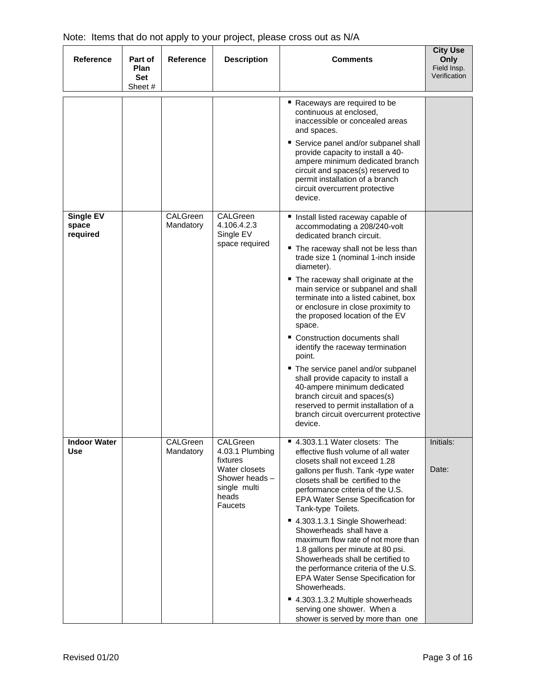| <b>Reference</b>                  | Part of<br><b>Plan</b><br><b>Set</b><br>Sheet # | <b>Reference</b>      | <b>Description</b>                                                                                             | <b>Comments</b>                                                                                                                                                                                                                                                                                                                                                                                                                                                                                                                                                                                                                                                                                                                 | <b>City Use</b><br>Only<br>Field Insp.<br>Verification |
|-----------------------------------|-------------------------------------------------|-----------------------|----------------------------------------------------------------------------------------------------------------|---------------------------------------------------------------------------------------------------------------------------------------------------------------------------------------------------------------------------------------------------------------------------------------------------------------------------------------------------------------------------------------------------------------------------------------------------------------------------------------------------------------------------------------------------------------------------------------------------------------------------------------------------------------------------------------------------------------------------------|--------------------------------------------------------|
|                                   |                                                 |                       |                                                                                                                | ■ Raceways are required to be<br>continuous at enclosed,<br>inaccessible or concealed areas<br>and spaces.<br>Service panel and/or subpanel shall<br>provide capacity to install a 40-<br>ampere minimum dedicated branch<br>circuit and spaces(s) reserved to<br>permit installation of a branch<br>circuit overcurrent protective<br>device.                                                                                                                                                                                                                                                                                                                                                                                  |                                                        |
| Single EV<br>space<br>required    |                                                 | CALGreen<br>Mandatory | CALGreen<br>4.106.4.2.3<br>Single EV<br>space required                                                         | ■ Install listed raceway capable of<br>accommodating a 208/240-volt<br>dedicated branch circuit.<br>■ The raceway shall not be less than<br>trade size 1 (nominal 1-inch inside<br>diameter).<br>■ The raceway shall originate at the<br>main service or subpanel and shall<br>terminate into a listed cabinet, box<br>or enclosure in close proximity to<br>the proposed location of the EV<br>space.<br>■ Construction documents shall<br>identify the raceway termination<br>point.<br>" The service panel and/or subpanel<br>shall provide capacity to install a<br>40-ampere minimum dedicated<br>branch circuit and spaces(s)<br>reserved to permit installation of a<br>branch circuit overcurrent protective<br>device. |                                                        |
| <b>Indoor Water</b><br><b>Use</b> |                                                 | CALGreen<br>Mandatory | CALGreen<br>4.03.1 Plumbing<br>fixtures<br>Water closets<br>Shower heads -<br>single multi<br>heads<br>Faucets | ■ 4.303.1.1 Water closets: The<br>effective flush volume of all water<br>closets shall not exceed 1.28<br>gallons per flush. Tank -type water<br>closets shall be certified to the<br>performance criteria of the U.S.<br>EPA Water Sense Specification for<br>Tank-type Toilets.<br>■ 4.303.1.3.1 Single Showerhead:<br>Showerheads shall have a<br>maximum flow rate of not more than<br>1.8 gallons per minute at 80 psi.<br>Showerheads shall be certified to<br>the performance criteria of the U.S.<br>EPA Water Sense Specification for<br>Showerheads.<br>■ 4.303.1.3.2 Multiple showerheads<br>serving one shower. When a<br>shower is served by more than one                                                         | Initials:<br>Date:                                     |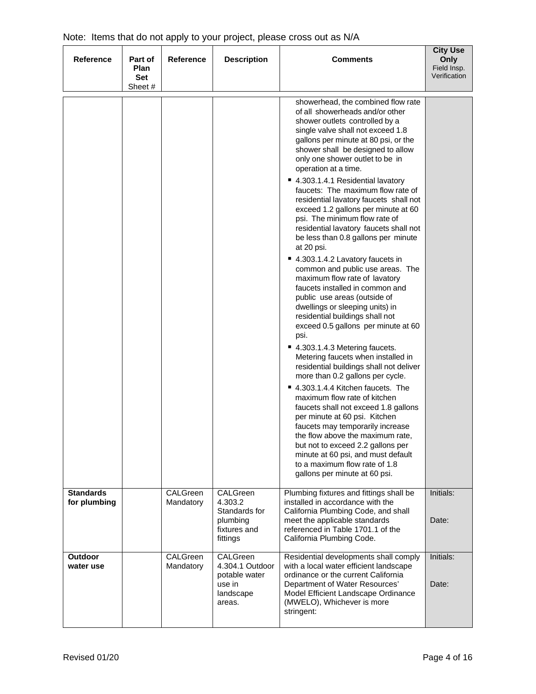| <b>Reference</b>                 | Part of<br>Plan<br><b>Set</b><br>Sheet # | <b>Reference</b>      | <b>Description</b>                                                            | <b>Comments</b>                                                                                                                                                                                                                                                                                                                                                                                                                                                                                                                                                                                                                                                                                                                                                                                                                                                                                                                                                                                                                                                                                                                                                                                                                                                                                                                                                                                               | <b>City Use</b><br>Only<br>Field Insp.<br>Verification |
|----------------------------------|------------------------------------------|-----------------------|-------------------------------------------------------------------------------|---------------------------------------------------------------------------------------------------------------------------------------------------------------------------------------------------------------------------------------------------------------------------------------------------------------------------------------------------------------------------------------------------------------------------------------------------------------------------------------------------------------------------------------------------------------------------------------------------------------------------------------------------------------------------------------------------------------------------------------------------------------------------------------------------------------------------------------------------------------------------------------------------------------------------------------------------------------------------------------------------------------------------------------------------------------------------------------------------------------------------------------------------------------------------------------------------------------------------------------------------------------------------------------------------------------------------------------------------------------------------------------------------------------|--------------------------------------------------------|
|                                  |                                          |                       |                                                                               | showerhead, the combined flow rate<br>of all showerheads and/or other<br>shower outlets controlled by a<br>single valve shall not exceed 1.8<br>gallons per minute at 80 psi, or the<br>shower shall be designed to allow<br>only one shower outlet to be in<br>operation at a time.<br>■ 4.303.1.4.1 Residential lavatory<br>faucets: The maximum flow rate of<br>residential lavatory faucets shall not<br>exceed 1.2 gallons per minute at 60<br>psi. The minimum flow rate of<br>residential lavatory faucets shall not<br>be less than 0.8 gallons per minute<br>at 20 psi.<br>■ 4.303.1.4.2 Lavatory faucets in<br>common and public use areas. The<br>maximum flow rate of lavatory<br>faucets installed in common and<br>public use areas (outside of<br>dwellings or sleeping units) in<br>residential buildings shall not<br>exceed 0.5 gallons per minute at 60<br>psi.<br>■ 4.303.1.4.3 Metering faucets.<br>Metering faucets when installed in<br>residential buildings shall not deliver<br>more than 0.2 gallons per cycle.<br>■ 4.303.1.4.4 Kitchen faucets. The<br>maximum flow rate of kitchen<br>faucets shall not exceed 1.8 gallons<br>per minute at 60 psi. Kitchen<br>faucets may temporarily increase<br>the flow above the maximum rate<br>but not to exceed 2.2 gallons per<br>minute at 60 psi, and must default<br>to a maximum flow rate of 1.8<br>gallons per minute at 60 psi. |                                                        |
| <b>Standards</b><br>for plumbing |                                          | CALGreen<br>Mandatory | CALGreen<br>4.303.2<br>Standards for<br>plumbing<br>fixtures and<br>fittings  | Plumbing fixtures and fittings shall be<br>installed in accordance with the<br>California Plumbing Code, and shall<br>meet the applicable standards<br>referenced in Table 1701.1 of the<br>California Plumbing Code.                                                                                                                                                                                                                                                                                                                                                                                                                                                                                                                                                                                                                                                                                                                                                                                                                                                                                                                                                                                                                                                                                                                                                                                         | Initials:<br>Date:                                     |
| Outdoor<br>water use             |                                          | CALGreen<br>Mandatory | CALGreen<br>4.304.1 Outdoor<br>potable water<br>use in<br>landscape<br>areas. | Residential developments shall comply<br>with a local water efficient landscape<br>ordinance or the current California<br>Department of Water Resources'<br>Model Efficient Landscape Ordinance<br>(MWELO), Whichever is more<br>stringent:                                                                                                                                                                                                                                                                                                                                                                                                                                                                                                                                                                                                                                                                                                                                                                                                                                                                                                                                                                                                                                                                                                                                                                   | Initials:<br>Date:                                     |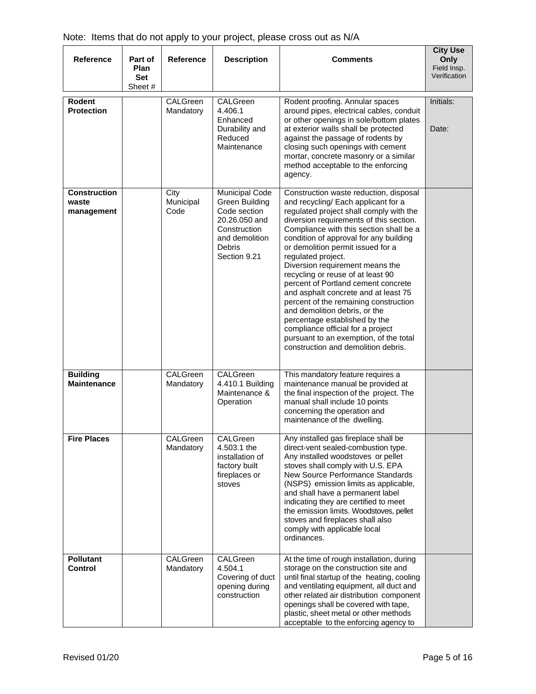| <b>Reference</b>                           | Part of<br>Plan<br><b>Set</b><br>Sheet # | <b>Reference</b>          | <b>Description</b>                                                                                                                          | Comments                                                                                                                                                                                                                                                                                                                                                                                                                                                                                                                                                                                                                                                                                                    | <b>City Use</b><br>Only<br>Field Insp.<br>Verification |
|--------------------------------------------|------------------------------------------|---------------------------|---------------------------------------------------------------------------------------------------------------------------------------------|-------------------------------------------------------------------------------------------------------------------------------------------------------------------------------------------------------------------------------------------------------------------------------------------------------------------------------------------------------------------------------------------------------------------------------------------------------------------------------------------------------------------------------------------------------------------------------------------------------------------------------------------------------------------------------------------------------------|--------------------------------------------------------|
| <b>Rodent</b><br><b>Protection</b>         |                                          | CALGreen<br>Mandatory     | CALGreen<br>4.406.1<br>Enhanced<br>Durability and<br>Reduced<br>Maintenance                                                                 | Rodent proofing. Annular spaces<br>around pipes, electrical cables, conduit<br>or other openings in sole/bottom plates<br>at exterior walls shall be protected<br>against the passage of rodents by<br>closing such openings with cement<br>mortar, concrete masonry or a similar<br>method acceptable to the enforcing<br>agency.                                                                                                                                                                                                                                                                                                                                                                          | Initials:<br>Date:                                     |
| <b>Construction</b><br>waste<br>management |                                          | City<br>Municipal<br>Code | <b>Municipal Code</b><br>Green Building<br>Code section<br>20.26.050 and<br>Construction<br>and demolition<br><b>Debris</b><br>Section 9.21 | Construction waste reduction, disposal<br>and recycling/ Each applicant for a<br>regulated project shall comply with the<br>diversion requirements of this section.<br>Compliance with this section shall be a<br>condition of approval for any building<br>or demolition permit issued for a<br>regulated project.<br>Diversion requirement means the<br>recycling or reuse of at least 90<br>percent of Portland cement concrete<br>and asphalt concrete and at least 75<br>percent of the remaining construction<br>and demolition debris, or the<br>percentage established by the<br>compliance official for a project<br>pursuant to an exemption, of the total<br>construction and demolition debris. |                                                        |
| <b>Building</b><br><b>Maintenance</b>      |                                          | CALGreen<br>Mandatory     | CALGreen<br>4.410.1 Building<br>Maintenance &<br>Operation                                                                                  | This mandatory feature requires a<br>maintenance manual be provided at<br>the final inspection of the project. The<br>manual shall include 10 points<br>concerning the operation and<br>maintenance of the dwelling.                                                                                                                                                                                                                                                                                                                                                                                                                                                                                        |                                                        |
| <b>Fire Places</b>                         |                                          | CALGreen<br>Mandatory     | CALGreen<br>4.503.1 the<br>installation of<br>factory built<br>fireplaces or<br>stoves                                                      | Any installed gas fireplace shall be<br>direct-vent sealed-combustion type.<br>Any installed woodstoves or pellet<br>stoves shall comply with U.S. EPA<br>New Source Performance Standards<br>(NSPS) emission limits as applicable,<br>and shall have a permanent label<br>indicating they are certified to meet<br>the emission limits. Woodstoves, pellet<br>stoves and fireplaces shall also<br>comply with applicable local<br>ordinances.                                                                                                                                                                                                                                                              |                                                        |
| <b>Pollutant</b><br>Control                |                                          | CALGreen<br>Mandatory     | CALGreen<br>4.504.1<br>Covering of duct<br>opening during<br>construction                                                                   | At the time of rough installation, during<br>storage on the construction site and<br>until final startup of the heating, cooling<br>and ventilating equipment, all duct and<br>other related air distribution component<br>openings shall be covered with tape,<br>plastic, sheet metal or other methods<br>acceptable to the enforcing agency to                                                                                                                                                                                                                                                                                                                                                           |                                                        |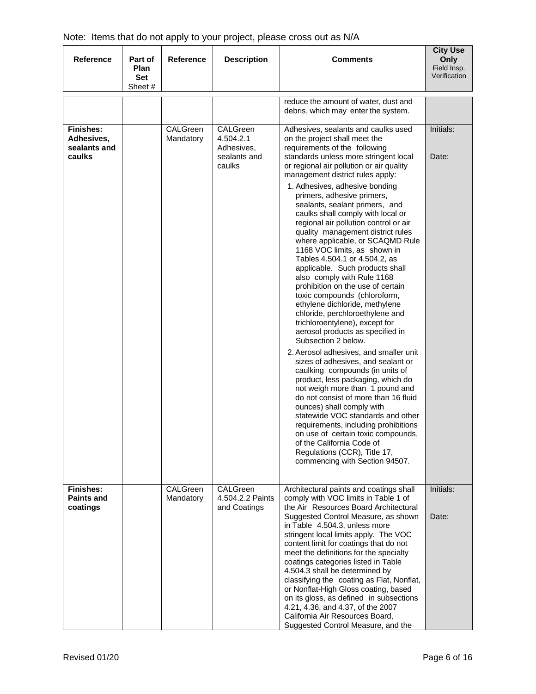| <b>Reference</b>                                         | Part of<br>Plan<br>Set<br>Sheet # | <b>Reference</b>      | <b>Description</b>                                            | <b>Comments</b>                                                                                                                                                                                                                                                                                                                                                                                                                                                                                                                                                                                                                                                                                                                                                                                                                                                                                                                                                                                                                                                                                                                                                                                                                                                                                                                                    | <b>City Use</b><br>Only<br>Field Insp.<br>Verification |
|----------------------------------------------------------|-----------------------------------|-----------------------|---------------------------------------------------------------|----------------------------------------------------------------------------------------------------------------------------------------------------------------------------------------------------------------------------------------------------------------------------------------------------------------------------------------------------------------------------------------------------------------------------------------------------------------------------------------------------------------------------------------------------------------------------------------------------------------------------------------------------------------------------------------------------------------------------------------------------------------------------------------------------------------------------------------------------------------------------------------------------------------------------------------------------------------------------------------------------------------------------------------------------------------------------------------------------------------------------------------------------------------------------------------------------------------------------------------------------------------------------------------------------------------------------------------------------|--------------------------------------------------------|
|                                                          |                                   |                       |                                                               | reduce the amount of water, dust and<br>debris, which may enter the system.                                                                                                                                                                                                                                                                                                                                                                                                                                                                                                                                                                                                                                                                                                                                                                                                                                                                                                                                                                                                                                                                                                                                                                                                                                                                        |                                                        |
| <b>Finishes:</b><br>Adhesives,<br>sealants and<br>caulks |                                   | CALGreen<br>Mandatory | CALGreen<br>4.504.2.1<br>Adhesives,<br>sealants and<br>caulks | Adhesives, sealants and caulks used<br>on the project shall meet the<br>requirements of the following<br>standards unless more stringent local<br>or regional air pollution or air quality<br>management district rules apply:<br>1. Adhesives, adhesive bonding<br>primers, adhesive primers,<br>sealants, sealant primers, and<br>caulks shall comply with local or<br>regional air pollution control or air<br>quality management district rules<br>where applicable, or SCAQMD Rule<br>1168 VOC limits, as shown in<br>Tables 4.504.1 or 4.504.2, as<br>applicable. Such products shall<br>also comply with Rule 1168<br>prohibition on the use of certain<br>toxic compounds (chloroform,<br>ethylene dichloride, methylene<br>chloride, perchloroethylene and<br>trichloroentylene), except for<br>aerosol products as specified in<br>Subsection 2 below.<br>2. Aerosol adhesives, and smaller unit<br>sizes of adhesives, and sealant or<br>caulking compounds (in units of<br>product, less packaging, which do<br>not weigh more than 1 pound and<br>do not consist of more than 16 fluid<br>ounces) shall comply with<br>statewide VOC standards and other<br>requirements, including prohibitions<br>on use of certain toxic compounds,<br>of the California Code of<br>Regulations (CCR), Title 17,<br>commencing with Section 94507. | Initials:<br>Date:                                     |
| <b>Finishes:</b><br><b>Paints and</b><br>coatings        |                                   | CALGreen<br>Mandatory | CALGreen<br>4.504.2.2 Paints<br>and Coatings                  | Architectural paints and coatings shall<br>comply with VOC limits in Table 1 of<br>the Air Resources Board Architectural<br>Suggested Control Measure, as shown<br>in Table 4.504.3, unless more<br>stringent local limits apply. The VOC<br>content limit for coatings that do not<br>meet the definitions for the specialty<br>coatings categories listed in Table<br>4.504.3 shall be determined by<br>classifying the coating as Flat, Nonflat,<br>or Nonflat-High Gloss coating, based<br>on its gloss, as defined in subsections<br>4.21, 4.36, and 4.37, of the 2007<br>California Air Resources Board,                                                                                                                                                                                                                                                                                                                                                                                                                                                                                                                                                                                                                                                                                                                                     | Initials:<br>Date:                                     |

Suggested Control Measure, and the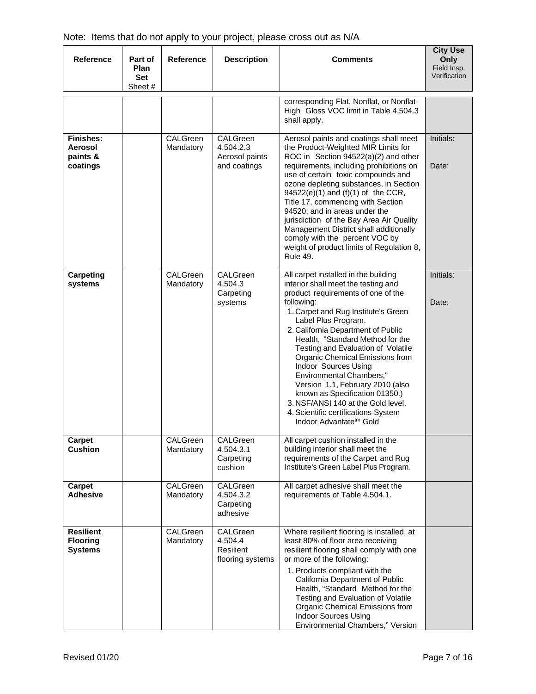| Reference                                             | Part of<br>Plan<br>Set<br>Sheet # | <b>Reference</b>      | <b>Description</b>                                      | <b>Comments</b>                                                                                                                                                                                                                                                                                                                                                                                                                                                                                                                                                                                | <b>City Use</b><br>Only<br>Field Insp.<br>Verification |
|-------------------------------------------------------|-----------------------------------|-----------------------|---------------------------------------------------------|------------------------------------------------------------------------------------------------------------------------------------------------------------------------------------------------------------------------------------------------------------------------------------------------------------------------------------------------------------------------------------------------------------------------------------------------------------------------------------------------------------------------------------------------------------------------------------------------|--------------------------------------------------------|
|                                                       |                                   |                       |                                                         | corresponding Flat, Nonflat, or Nonflat-<br>High Gloss VOC limit in Table 4.504.3<br>shall apply.                                                                                                                                                                                                                                                                                                                                                                                                                                                                                              |                                                        |
| <b>Finishes:</b><br>Aerosol<br>paints &<br>coatings   |                                   | CALGreen<br>Mandatory | CALGreen<br>4.504.2.3<br>Aerosol paints<br>and coatings | Aerosol paints and coatings shall meet<br>the Product-Weighted MIR Limits for<br>ROC in Section 94522(a)(2) and other<br>requirements, including prohibitions on<br>use of certain toxic compounds and<br>ozone depleting substances, in Section<br>94522(e)(1) and (f)(1) of the CCR,<br>Title 17, commencing with Section<br>94520; and in areas under the<br>jurisdiction of the Bay Area Air Quality<br>Management District shall additionally<br>comply with the percent VOC by<br>weight of product limits of Regulation 8,<br><b>Rule 49.</b>                                           | Initials:<br>Date:                                     |
| Carpeting<br>systems                                  |                                   | CALGreen<br>Mandatory | CALGreen<br>4.504.3<br>Carpeting<br>systems             | All carpet installed in the building<br>interior shall meet the testing and<br>product requirements of one of the<br>following:<br>1. Carpet and Rug Institute's Green<br>Label Plus Program.<br>2. California Department of Public<br>Health, "Standard Method for the<br>Testing and Evaluation of Volatile<br>Organic Chemical Emissions from<br>Indoor Sources Using<br>Environmental Chambers,"<br>Version 1.1, February 2010 (also<br>known as Specification 01350.)<br>3. NSF/ANSI 140 at the Gold level.<br>4. Scientific certifications System<br>Indoor Advantate <sup>tm</sup> Gold | Initials:<br>Date:                                     |
| Carpet<br><b>Cushion</b>                              |                                   | CALGreen<br>Mandatory | CALGreen<br>4.504.3.1<br>Carpeting<br>cushion           | All carpet cushion installed in the<br>building interior shall meet the<br>requirements of the Carpet and Rug<br>Institute's Green Label Plus Program.                                                                                                                                                                                                                                                                                                                                                                                                                                         |                                                        |
| Carpet<br><b>Adhesive</b>                             |                                   | CALGreen<br>Mandatory | CALGreen<br>4.504.3.2<br>Carpeting<br>adhesive          | All carpet adhesive shall meet the<br>requirements of Table 4.504.1.                                                                                                                                                                                                                                                                                                                                                                                                                                                                                                                           |                                                        |
| <b>Resilient</b><br><b>Flooring</b><br><b>Systems</b> |                                   | CALGreen<br>Mandatory | CALGreen<br>4.504.4<br>Resilient<br>flooring systems    | Where resilient flooring is installed, at<br>least 80% of floor area receiving<br>resilient flooring shall comply with one<br>or more of the following:<br>1. Products compliant with the<br>California Department of Public<br>Health, "Standard Method for the<br>Testing and Evaluation of Volatile<br>Organic Chemical Emissions from<br><b>Indoor Sources Using</b><br>Environmental Chambers," Version                                                                                                                                                                                   |                                                        |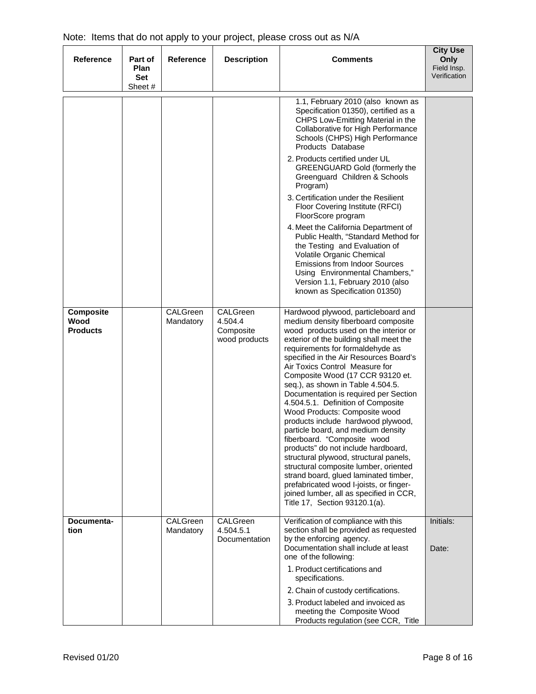| <b>Reference</b>                            | Part of<br><b>Plan</b><br><b>Set</b> | <b>Reference</b>      | <b>Description</b>                                | <b>Comments</b>                                                                                                                                                                                                                                                                                                                                                                                                                                                                                                                                                                                                                                                                                                                                                                                                                                                              | <b>City Use</b><br>Only<br>Field Insp.<br>Verification |
|---------------------------------------------|--------------------------------------|-----------------------|---------------------------------------------------|------------------------------------------------------------------------------------------------------------------------------------------------------------------------------------------------------------------------------------------------------------------------------------------------------------------------------------------------------------------------------------------------------------------------------------------------------------------------------------------------------------------------------------------------------------------------------------------------------------------------------------------------------------------------------------------------------------------------------------------------------------------------------------------------------------------------------------------------------------------------------|--------------------------------------------------------|
|                                             | Sheet #                              |                       |                                                   |                                                                                                                                                                                                                                                                                                                                                                                                                                                                                                                                                                                                                                                                                                                                                                                                                                                                              |                                                        |
|                                             |                                      |                       |                                                   | 1.1, February 2010 (also known as<br>Specification 01350), certified as a<br>CHPS Low-Emitting Material in the<br>Collaborative for High Performance<br>Schools (CHPS) High Performance<br>Products Database                                                                                                                                                                                                                                                                                                                                                                                                                                                                                                                                                                                                                                                                 |                                                        |
|                                             |                                      |                       |                                                   | 2. Products certified under UL<br><b>GREENGUARD Gold (formerly the</b><br>Greenguard Children & Schools<br>Program)                                                                                                                                                                                                                                                                                                                                                                                                                                                                                                                                                                                                                                                                                                                                                          |                                                        |
|                                             |                                      |                       |                                                   | 3. Certification under the Resilient<br>Floor Covering Institute (RFCI)<br>FloorScore program                                                                                                                                                                                                                                                                                                                                                                                                                                                                                                                                                                                                                                                                                                                                                                                |                                                        |
|                                             |                                      |                       |                                                   | 4. Meet the California Department of<br>Public Health, "Standard Method for<br>the Testing and Evaluation of<br>Volatile Organic Chemical<br><b>Emissions from Indoor Sources</b><br>Using Environmental Chambers,"<br>Version 1.1, February 2010 (also<br>known as Specification 01350)                                                                                                                                                                                                                                                                                                                                                                                                                                                                                                                                                                                     |                                                        |
| <b>Composite</b><br>Wood<br><b>Products</b> |                                      | CALGreen<br>Mandatory | CALGreen<br>4.504.4<br>Composite<br>wood products | Hardwood plywood, particleboard and<br>medium density fiberboard composite<br>wood products used on the interior or<br>exterior of the building shall meet the<br>requirements for formaldehyde as<br>specified in the Air Resources Board's<br>Air Toxics Control Measure for<br>Composite Wood (17 CCR 93120 et.<br>seq.), as shown in Table 4.504.5.<br>Documentation is required per Section<br>4.504.5.1. Definition of Composite<br>Wood Products: Composite wood<br>products include hardwood plywood,<br>particle board, and medium density<br>fiberboard. "Composite wood<br>products" do not include hardboard,<br>structural plywood, structural panels,<br>structural composite lumber, oriented<br>strand board, glued laminated timber,<br>prefabricated wood I-joists, or finger-<br>joined lumber, all as specified in CCR,<br>Title 17, Section 93120.1(a). |                                                        |
| Documenta-<br>tion                          |                                      | CALGreen<br>Mandatory | CALGreen<br>4.504.5.1<br>Documentation            | Verification of compliance with this<br>section shall be provided as requested<br>by the enforcing agency.<br>Documentation shall include at least<br>one of the following:                                                                                                                                                                                                                                                                                                                                                                                                                                                                                                                                                                                                                                                                                                  | Initials:<br>Date:                                     |
|                                             |                                      |                       |                                                   | 1. Product certifications and<br>specifications.<br>2. Chain of custody certifications.                                                                                                                                                                                                                                                                                                                                                                                                                                                                                                                                                                                                                                                                                                                                                                                      |                                                        |
|                                             |                                      |                       |                                                   | 3. Product labeled and invoiced as<br>meeting the Composite Wood<br>Products regulation (see CCR, Title                                                                                                                                                                                                                                                                                                                                                                                                                                                                                                                                                                                                                                                                                                                                                                      |                                                        |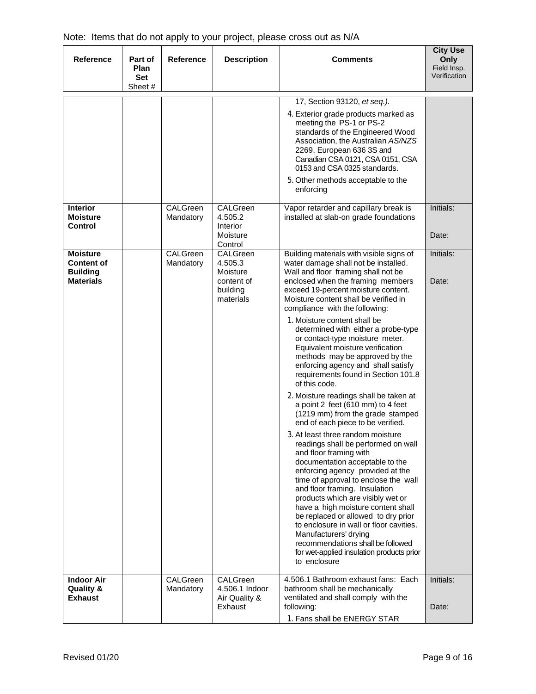| <b>Reference</b>                                                            | Part of<br><b>Plan</b><br><b>Set</b><br>Sheet# | <b>Reference</b>      | <b>Description</b>                                                                | <b>Comments</b>                                                                                                                                                                                                                                                                                                                                                                                                                                                                                                                                                                                                                                                                                                                                                                                                                                                                                                                                                                                                                                                                                                                                                                                                                                                    | <b>City Use</b><br>Only<br>Field Insp.<br>Verification |
|-----------------------------------------------------------------------------|------------------------------------------------|-----------------------|-----------------------------------------------------------------------------------|--------------------------------------------------------------------------------------------------------------------------------------------------------------------------------------------------------------------------------------------------------------------------------------------------------------------------------------------------------------------------------------------------------------------------------------------------------------------------------------------------------------------------------------------------------------------------------------------------------------------------------------------------------------------------------------------------------------------------------------------------------------------------------------------------------------------------------------------------------------------------------------------------------------------------------------------------------------------------------------------------------------------------------------------------------------------------------------------------------------------------------------------------------------------------------------------------------------------------------------------------------------------|--------------------------------------------------------|
|                                                                             |                                                |                       |                                                                                   |                                                                                                                                                                                                                                                                                                                                                                                                                                                                                                                                                                                                                                                                                                                                                                                                                                                                                                                                                                                                                                                                                                                                                                                                                                                                    |                                                        |
|                                                                             |                                                |                       |                                                                                   | 17, Section 93120, et seq.).<br>4. Exterior grade products marked as<br>meeting the PS-1 or PS-2<br>standards of the Engineered Wood<br>Association, the Australian AS/NZS<br>2269, European 636 3S and<br>Canadian CSA 0121, CSA 0151, CSA<br>0153 and CSA 0325 standards.<br>5. Other methods acceptable to the<br>enforcing                                                                                                                                                                                                                                                                                                                                                                                                                                                                                                                                                                                                                                                                                                                                                                                                                                                                                                                                     |                                                        |
| <b>Interior</b><br><b>Moisture</b><br><b>Control</b>                        |                                                | CALGreen<br>Mandatory | CALGreen<br>4.505.2<br><b>Interior</b><br>Moisture                                | Vapor retarder and capillary break is<br>installed at slab-on grade foundations                                                                                                                                                                                                                                                                                                                                                                                                                                                                                                                                                                                                                                                                                                                                                                                                                                                                                                                                                                                                                                                                                                                                                                                    | Initials:<br>Date:                                     |
| <b>Moisture</b><br><b>Content of</b><br><b>Building</b><br><b>Materials</b> |                                                | CALGreen<br>Mandatory | Control<br>CALGreen<br>4.505.3<br>Moisture<br>content of<br>building<br>materials | Building materials with visible signs of<br>water damage shall not be installed.<br>Wall and floor framing shall not be<br>enclosed when the framing members<br>exceed 19-percent moisture content.<br>Moisture content shall be verified in<br>compliance with the following:<br>1. Moisture content shall be<br>determined with either a probe-type<br>or contact-type moisture meter.<br>Equivalent moisture verification<br>methods may be approved by the<br>enforcing agency and shall satisfy<br>requirements found in Section 101.8<br>of this code.<br>2. Moisture readings shall be taken at<br>a point 2 feet (610 mm) to 4 feet<br>(1219 mm) from the grade stamped<br>end of each piece to be verified.<br>3. At least three random moisture<br>readings shall be performed on wall<br>and floor framing with<br>documentation acceptable to the<br>enforcing agency provided at the<br>time of approval to enclose the wall<br>and floor framing. Insulation<br>products which are visibly wet or<br>have a high moisture content shall<br>be replaced or allowed to dry prior<br>to enclosure in wall or floor cavities.<br>Manufacturers' drying<br>recommendations shall be followed<br>for wet-applied insulation products prior<br>to enclosure | Initials:<br>Date:                                     |
| <b>Indoor Air</b><br><b>Quality &amp;</b><br><b>Exhaust</b>                 |                                                | CALGreen<br>Mandatory | CALGreen<br>4.506.1 Indoor<br>Air Quality &<br>Exhaust                            | 4.506.1 Bathroom exhaust fans: Each<br>bathroom shall be mechanically<br>ventilated and shall comply with the<br>following:<br>1. Fans shall be ENERGY STAR                                                                                                                                                                                                                                                                                                                                                                                                                                                                                                                                                                                                                                                                                                                                                                                                                                                                                                                                                                                                                                                                                                        | Initials:<br>Date:                                     |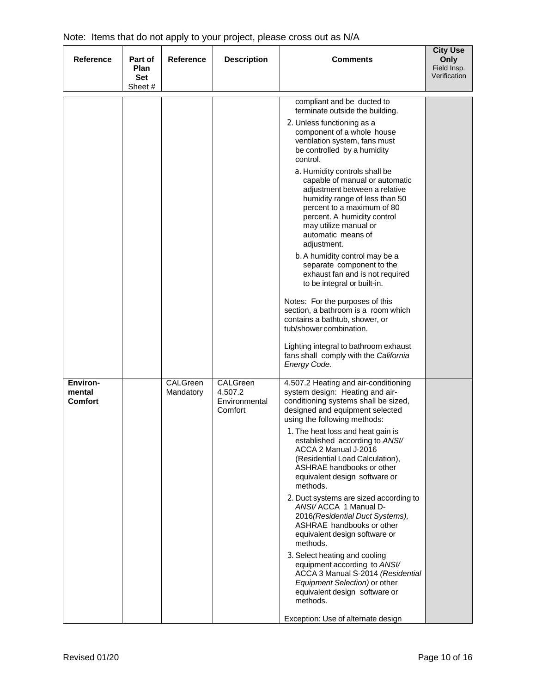| <b>Reference</b>                     | Part of<br><b>Plan</b> | <b>Reference</b>      | <b>Description</b>                              | <b>Comments</b>                                                                                                                                                                                                                                               | <b>City Use</b><br>Only<br>Field Insp. |
|--------------------------------------|------------------------|-----------------------|-------------------------------------------------|---------------------------------------------------------------------------------------------------------------------------------------------------------------------------------------------------------------------------------------------------------------|----------------------------------------|
|                                      | <b>Set</b><br>Sheet #  |                       |                                                 |                                                                                                                                                                                                                                                               | Verification                           |
|                                      |                        |                       |                                                 | compliant and be ducted to<br>terminate outside the building.                                                                                                                                                                                                 |                                        |
|                                      |                        |                       |                                                 | 2. Unless functioning as a<br>component of a whole house<br>ventilation system, fans must<br>be controlled by a humidity<br>control.                                                                                                                          |                                        |
|                                      |                        |                       |                                                 | a. Humidity controls shall be<br>capable of manual or automatic<br>adjustment between a relative<br>humidity range of less than 50<br>percent to a maximum of 80<br>percent. A humidity control<br>may utilize manual or<br>automatic means of<br>adjustment. |                                        |
|                                      |                        |                       |                                                 | b. A humidity control may be a<br>separate component to the<br>exhaust fan and is not required<br>to be integral or built-in.                                                                                                                                 |                                        |
|                                      |                        |                       |                                                 | Notes: For the purposes of this<br>section, a bathroom is a room which<br>contains a bathtub, shower, or<br>tub/shower combination.                                                                                                                           |                                        |
|                                      |                        |                       |                                                 | Lighting integral to bathroom exhaust<br>fans shall comply with the California<br>Energy Code.                                                                                                                                                                |                                        |
| Environ-<br>mental<br><b>Comfort</b> |                        | CALGreen<br>Mandatory | CALGreen<br>4.507.2<br>Environmental<br>Comfort | 4.507.2 Heating and air-conditioning<br>system design: Heating and air-<br>conditioning systems shall be sized,<br>designed and equipment selected<br>using the following methods:                                                                            |                                        |
|                                      |                        |                       |                                                 | 1. The heat loss and heat gain is<br>established according to ANSI/<br>ACCA 2 Manual J-2016<br>(Residential Load Calculation),<br>ASHRAE handbooks or other<br>equivalent design software or<br>methods.                                                      |                                        |
|                                      |                        |                       |                                                 | 2. Duct systems are sized according to<br>ANSI/ACCA 1 Manual D-<br>2016(Residential Duct Systems),<br>ASHRAE handbooks or other<br>equivalent design software or<br>methods.                                                                                  |                                        |
|                                      |                        |                       |                                                 | 3. Select heating and cooling<br>equipment according to ANSI/<br>ACCA 3 Manual S-2014 (Residential<br>Equipment Selection) or other<br>equivalent design software or<br>methods.                                                                              |                                        |
|                                      |                        |                       |                                                 | Exception: Use of alternate design                                                                                                                                                                                                                            |                                        |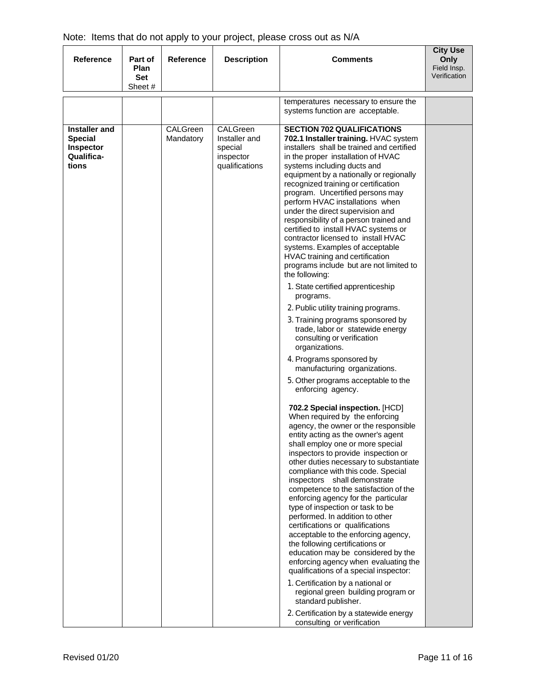| <b>Reference</b>                                                           | Part of<br><b>Plan</b><br>Set<br>Sheet # | <b>Reference</b>      | <b>Description</b>                                                  | <b>Comments</b>                                                                                                                                                                                                                                                                                                                                                                                                                                                                                                                                                                                                                                                                                                                         | <b>City Use</b><br>Only<br>Field Insp.<br>Verification |
|----------------------------------------------------------------------------|------------------------------------------|-----------------------|---------------------------------------------------------------------|-----------------------------------------------------------------------------------------------------------------------------------------------------------------------------------------------------------------------------------------------------------------------------------------------------------------------------------------------------------------------------------------------------------------------------------------------------------------------------------------------------------------------------------------------------------------------------------------------------------------------------------------------------------------------------------------------------------------------------------------|--------------------------------------------------------|
|                                                                            |                                          |                       |                                                                     | temperatures necessary to ensure the                                                                                                                                                                                                                                                                                                                                                                                                                                                                                                                                                                                                                                                                                                    |                                                        |
|                                                                            |                                          |                       |                                                                     | systems function are acceptable.                                                                                                                                                                                                                                                                                                                                                                                                                                                                                                                                                                                                                                                                                                        |                                                        |
| <b>Installer</b> and<br><b>Special</b><br>Inspector<br>Qualifica-<br>tions |                                          | CALGreen<br>Mandatory | CALGreen<br>Installer and<br>special<br>inspector<br>qualifications | <b>SECTION 702 QUALIFICATIONS</b><br>702.1 Installer training. HVAC system<br>installers shall be trained and certified<br>in the proper installation of HVAC<br>systems including ducts and<br>equipment by a nationally or regionally<br>recognized training or certification<br>program. Uncertified persons may<br>perform HVAC installations when<br>under the direct supervision and<br>responsibility of a person trained and<br>certified to install HVAC systems or<br>contractor licensed to install HVAC<br>systems. Examples of acceptable<br>HVAC training and certification<br>programs include but are not limited to<br>the following:                                                                                  |                                                        |
|                                                                            |                                          |                       |                                                                     | 1. State certified apprenticeship<br>programs.<br>2. Public utility training programs.                                                                                                                                                                                                                                                                                                                                                                                                                                                                                                                                                                                                                                                  |                                                        |
|                                                                            |                                          |                       |                                                                     | 3. Training programs sponsored by<br>trade, labor or statewide energy<br>consulting or verification<br>organizations.                                                                                                                                                                                                                                                                                                                                                                                                                                                                                                                                                                                                                   |                                                        |
|                                                                            |                                          |                       |                                                                     | 4. Programs sponsored by<br>manufacturing organizations.                                                                                                                                                                                                                                                                                                                                                                                                                                                                                                                                                                                                                                                                                |                                                        |
|                                                                            |                                          |                       |                                                                     | 5. Other programs acceptable to the<br>enforcing agency.                                                                                                                                                                                                                                                                                                                                                                                                                                                                                                                                                                                                                                                                                |                                                        |
|                                                                            |                                          |                       |                                                                     | 702.2 Special inspection. [HCD]<br>When required by the enforcing<br>agency, the owner or the responsible<br>entity acting as the owner's agent<br>shall employ one or more special<br>inspectors to provide inspection or<br>other duties necessary to substantiate<br>compliance with this code. Special<br>inspectors shall demonstrate<br>competence to the satisfaction of the<br>enforcing agency for the particular<br>type of inspection or task to be<br>performed. In addition to other<br>certifications or qualifications<br>acceptable to the enforcing agency,<br>the following certifications or<br>education may be considered by the<br>enforcing agency when evaluating the<br>qualifications of a special inspector: |                                                        |
|                                                                            |                                          |                       |                                                                     | 1. Certification by a national or<br>regional green building program or<br>standard publisher.<br>2. Certification by a statewide energy<br>consulting or verification                                                                                                                                                                                                                                                                                                                                                                                                                                                                                                                                                                  |                                                        |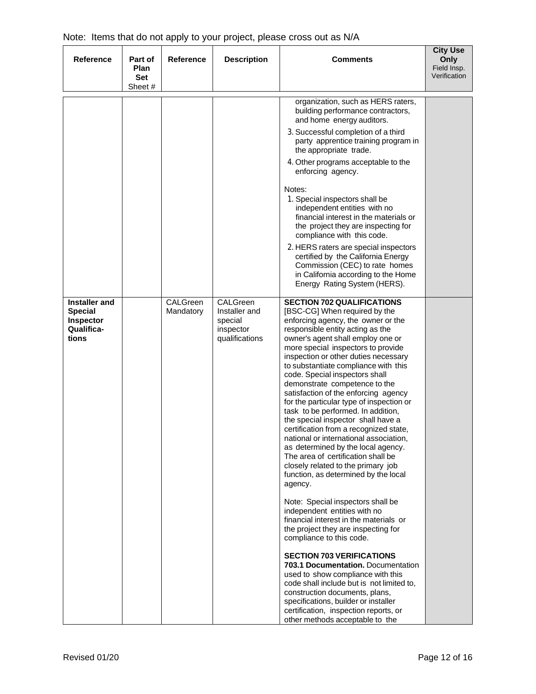| <b>Reference</b>                                                           | Part of<br>Plan<br><b>Set</b> | <b>Reference</b>      | <b>Description</b>                                                  | <b>Comments</b>                                                                                                                                                                                                                                                                                                                                                                                                                                                                                                                                                                                                                                                                                                                                                                                                                                                                                                                                                                                                                                                                                                                                                                                                                                                                                                | <b>City Use</b><br>Only<br>Field Insp.<br>Verification |
|----------------------------------------------------------------------------|-------------------------------|-----------------------|---------------------------------------------------------------------|----------------------------------------------------------------------------------------------------------------------------------------------------------------------------------------------------------------------------------------------------------------------------------------------------------------------------------------------------------------------------------------------------------------------------------------------------------------------------------------------------------------------------------------------------------------------------------------------------------------------------------------------------------------------------------------------------------------------------------------------------------------------------------------------------------------------------------------------------------------------------------------------------------------------------------------------------------------------------------------------------------------------------------------------------------------------------------------------------------------------------------------------------------------------------------------------------------------------------------------------------------------------------------------------------------------|--------------------------------------------------------|
|                                                                            | Sheet #                       |                       |                                                                     |                                                                                                                                                                                                                                                                                                                                                                                                                                                                                                                                                                                                                                                                                                                                                                                                                                                                                                                                                                                                                                                                                                                                                                                                                                                                                                                |                                                        |
|                                                                            |                               |                       |                                                                     | organization, such as HERS raters,<br>building performance contractors,<br>and home energy auditors.                                                                                                                                                                                                                                                                                                                                                                                                                                                                                                                                                                                                                                                                                                                                                                                                                                                                                                                                                                                                                                                                                                                                                                                                           |                                                        |
|                                                                            |                               |                       |                                                                     | 3. Successful completion of a third<br>party apprentice training program in<br>the appropriate trade.                                                                                                                                                                                                                                                                                                                                                                                                                                                                                                                                                                                                                                                                                                                                                                                                                                                                                                                                                                                                                                                                                                                                                                                                          |                                                        |
|                                                                            |                               |                       |                                                                     | 4. Other programs acceptable to the<br>enforcing agency.                                                                                                                                                                                                                                                                                                                                                                                                                                                                                                                                                                                                                                                                                                                                                                                                                                                                                                                                                                                                                                                                                                                                                                                                                                                       |                                                        |
|                                                                            |                               |                       |                                                                     | Notes:<br>1. Special inspectors shall be<br>independent entities with no<br>financial interest in the materials or<br>the project they are inspecting for<br>compliance with this code.<br>2. HERS raters are special inspectors<br>certified by the California Energy<br>Commission (CEC) to rate homes<br>in California according to the Home<br>Energy Rating System (HERS).                                                                                                                                                                                                                                                                                                                                                                                                                                                                                                                                                                                                                                                                                                                                                                                                                                                                                                                                |                                                        |
| <b>Installer</b> and<br><b>Special</b><br>Inspector<br>Qualifica-<br>tions |                               | CALGreen<br>Mandatory | CALGreen<br>Installer and<br>special<br>inspector<br>qualifications | <b>SECTION 702 QUALIFICATIONS</b><br>[BSC-CG] When required by the<br>enforcing agency, the owner or the<br>responsible entity acting as the<br>owner's agent shall employ one or<br>more special inspectors to provide<br>inspection or other duties necessary<br>to substantiate compliance with this<br>code. Special inspectors shall<br>demonstrate competence to the<br>satisfaction of the enforcing agency<br>for the particular type of inspection or<br>task to be performed. In addition,<br>the special inspector shall have a<br>certification from a recognized state,<br>national or international association,<br>as determined by the local agency.<br>The area of certification shall be<br>closely related to the primary job<br>function, as determined by the local<br>agency.<br>Note: Special inspectors shall be<br>independent entities with no<br>financial interest in the materials or<br>the project they are inspecting for<br>compliance to this code.<br><b>SECTION 703 VERIFICATIONS</b><br><b>703.1 Documentation.</b> Documentation<br>used to show compliance with this<br>code shall include but is not limited to,<br>construction documents, plans,<br>specifications, builder or installer<br>certification, inspection reports, or<br>other methods acceptable to the |                                                        |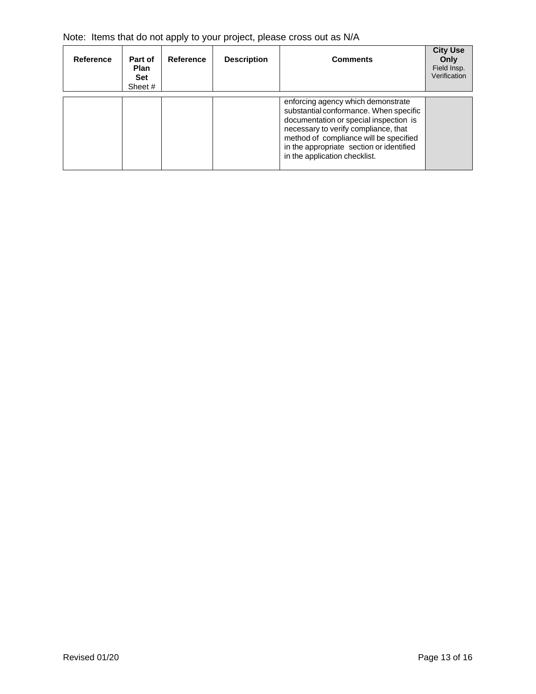|  | Note: Items that do not apply to your project, please cross out as N/A |  |  |  |  |  |
|--|------------------------------------------------------------------------|--|--|--|--|--|
|--|------------------------------------------------------------------------|--|--|--|--|--|

| Reference | Part of<br><b>Plan</b><br><b>Set</b><br>Sheet # | Reference | <b>Description</b> | <b>Comments</b>                                                                                                                                                                                                                                                                       | <b>City Use</b><br>Only<br>Field Insp.<br>Verification |
|-----------|-------------------------------------------------|-----------|--------------------|---------------------------------------------------------------------------------------------------------------------------------------------------------------------------------------------------------------------------------------------------------------------------------------|--------------------------------------------------------|
|           |                                                 |           |                    | enforcing agency which demonstrate<br>substantial conformance. When specific<br>documentation or special inspection is<br>necessary to verify compliance, that<br>method of compliance will be specified<br>in the appropriate section or identified<br>in the application checklist. |                                                        |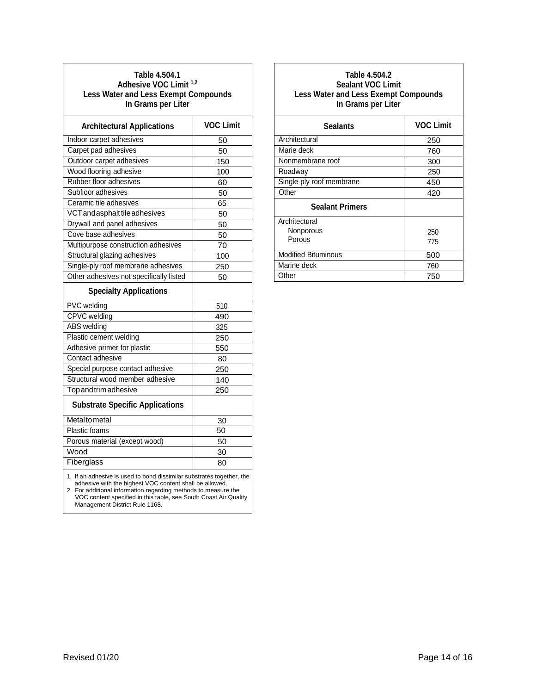#### **Table 4.504.1 Adhesive VOC Limit 1,2 Less Water and Less Exempt Compounds In Grams per Liter**

| <b>Architectural Applications</b>                                                                                                                                                                                                                                      | <b>VOC Limit</b> |  |
|------------------------------------------------------------------------------------------------------------------------------------------------------------------------------------------------------------------------------------------------------------------------|------------------|--|
| Indoor carpet adhesives                                                                                                                                                                                                                                                | 50               |  |
| Carpet pad adhesives                                                                                                                                                                                                                                                   | 50               |  |
| Outdoor carpet adhesives                                                                                                                                                                                                                                               | 150              |  |
| Wood flooring adhesive                                                                                                                                                                                                                                                 | 100              |  |
| Rubber floor adhesives                                                                                                                                                                                                                                                 | 60               |  |
| Subfloor adhesives                                                                                                                                                                                                                                                     | 50               |  |
| Ceramic tile adhesives                                                                                                                                                                                                                                                 | 65               |  |
| VCT and asphalt tile adhesives                                                                                                                                                                                                                                         | 50               |  |
| Drywall and panel adhesives                                                                                                                                                                                                                                            | 50               |  |
| Cove base adhesives                                                                                                                                                                                                                                                    | 50               |  |
| Multipurpose construction adhesives                                                                                                                                                                                                                                    | 70               |  |
| Structural glazing adhesives                                                                                                                                                                                                                                           | 100              |  |
| Single-ply roof membrane adhesives                                                                                                                                                                                                                                     | 250              |  |
| Other adhesives not specifically listed                                                                                                                                                                                                                                | 50               |  |
| <b>Specialty Applications</b>                                                                                                                                                                                                                                          |                  |  |
| <b>PVC</b> welding                                                                                                                                                                                                                                                     | 510              |  |
| <b>CPVC</b> welding                                                                                                                                                                                                                                                    | 490              |  |
| ABS welding                                                                                                                                                                                                                                                            | 325              |  |
| Plastic cement welding                                                                                                                                                                                                                                                 | 250              |  |
| Adhesive primer for plastic                                                                                                                                                                                                                                            | 550              |  |
| Contact adhesive                                                                                                                                                                                                                                                       | 80               |  |
| Special purpose contact adhesive                                                                                                                                                                                                                                       | 250              |  |
| Structural wood member adhesive                                                                                                                                                                                                                                        | 140              |  |
| Top and trim adhesive                                                                                                                                                                                                                                                  | 250              |  |
| <b>Substrate Specific Applications</b>                                                                                                                                                                                                                                 |                  |  |
| Metaltometal                                                                                                                                                                                                                                                           | 30               |  |
| Plastic foams                                                                                                                                                                                                                                                          | 50               |  |
| Porous material (except wood)                                                                                                                                                                                                                                          | 50               |  |
| Wood                                                                                                                                                                                                                                                                   | 30               |  |
| Fiberglass                                                                                                                                                                                                                                                             | 80               |  |
| 1. If an adhesive is used to bond dissimilar substrates together, the<br>adhesive with the highest VOC content shall be allowed.<br>2. For additional information regarding methods to measure the<br>VOC content specified in this table, see South Coast Air Quality |                  |  |

Management District Rule 1168.

|  | Table 4.504.2            |                                             |
|--|--------------------------|---------------------------------------------|
|  | <b>Sealant VOC Limit</b> |                                             |
|  |                          | <b>Less Water and Less Exempt Compounds</b> |
|  | In Grams per Liter       |                                             |

| <b>Sealants</b>            | <b>VOC Limit</b> |
|----------------------------|------------------|
| Architectural              | 250              |
| Marie deck                 | 760              |
| Nonmembrane roof           | 300              |
| Roadway                    | 250              |
| Single-ply roof membrane   | 450              |
| Other                      | 420              |
| <b>Sealant Primers</b>     |                  |
| Architectural              |                  |
| Nonporous                  | 250              |
| Porous                     | 775              |
| <b>Modified Bituminous</b> | 500              |
| Marine deck                | 760              |
| Other                      | 750              |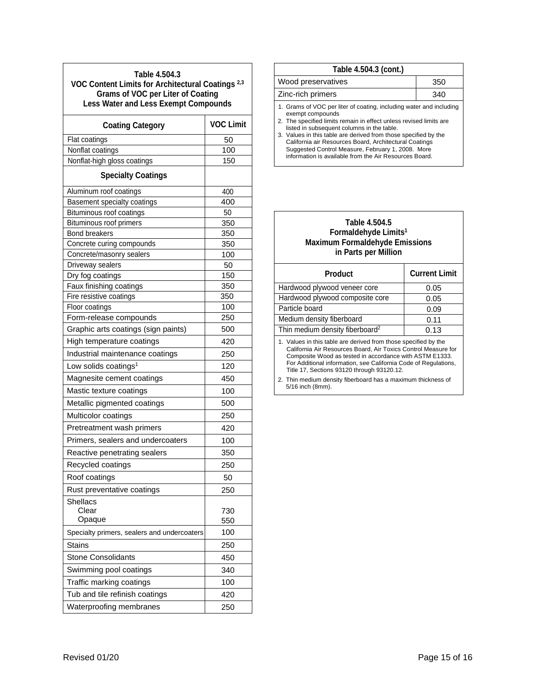| Table 4.504.3<br>VOC Content Limits for Architectural Coatings <sup>2,3</sup><br><b>Grams of VOC per Liter of Coating</b><br><b>Less Water and Less Exempt Compounds</b> |                  |  |
|--------------------------------------------------------------------------------------------------------------------------------------------------------------------------|------------------|--|
| <b>Coating Category</b>                                                                                                                                                  | <b>VOC Limit</b> |  |
| Flat coatings                                                                                                                                                            | 50               |  |
| Nonflat coatings                                                                                                                                                         | 100              |  |
| Nonflat-high gloss coatings                                                                                                                                              | 150              |  |
| <b>Specialty Coatings</b>                                                                                                                                                |                  |  |
| Aluminum roof coatings                                                                                                                                                   | 400              |  |
| Basement specialty coatings                                                                                                                                              | 400              |  |
| Bituminous roof coatings                                                                                                                                                 | 50               |  |
| Bituminous roof primers                                                                                                                                                  | 350              |  |
| <b>Bond breakers</b>                                                                                                                                                     | 350              |  |
| Concrete curing compounds                                                                                                                                                | 350              |  |
| Concrete/masonry sealers                                                                                                                                                 | 100              |  |
| Driveway sealers                                                                                                                                                         | 50               |  |
| Dry fog coatings<br>Faux finishing coatings                                                                                                                              | 150<br>350       |  |
| Fire resistive coatings                                                                                                                                                  | 350              |  |
| Floor coatings                                                                                                                                                           | 100              |  |
| Form-release compounds                                                                                                                                                   | 250              |  |
| Graphic arts coatings (sign paints)                                                                                                                                      | 500              |  |
| High temperature coatings                                                                                                                                                | 420              |  |
| Industrial maintenance coatings                                                                                                                                          | 250              |  |
| Low solids coatings <sup>1</sup>                                                                                                                                         | 120              |  |
| Magnesite cement coatings                                                                                                                                                | 450              |  |
| Mastic texture coatings                                                                                                                                                  | 100              |  |
| Metallic pigmented coatings                                                                                                                                              | 500              |  |
| Multicolor coatings                                                                                                                                                      | 250              |  |
| Pretreatment wash primers                                                                                                                                                | 420              |  |
| Primers, sealers and undercoaters                                                                                                                                        | 100              |  |
| Reactive penetrating sealers                                                                                                                                             | 350              |  |
| Recycled coatings                                                                                                                                                        | 250              |  |
| Roof coatings                                                                                                                                                            | 50               |  |
| Rust preventative coatings                                                                                                                                               | 250              |  |
| <b>Shellacs</b><br>Clear<br>Opaque                                                                                                                                       | 730<br>550       |  |
| Specialty primers, sealers and undercoaters                                                                                                                              | 100              |  |
| Stains                                                                                                                                                                   | 250              |  |
| <b>Stone Consolidants</b>                                                                                                                                                | 450              |  |
| Swimming pool coatings                                                                                                                                                   | 340              |  |
| Traffic marking coatings                                                                                                                                                 | 100              |  |
| Tub and tile refinish coatings                                                                                                                                           | 420              |  |
| Waterproofing membranes                                                                                                                                                  | 250              |  |

# **Table 4.504.3 (cont.)**

| Wood preservatives                                                                                                                                                                                                                                                                                                                                                                            | 350 |  |
|-----------------------------------------------------------------------------------------------------------------------------------------------------------------------------------------------------------------------------------------------------------------------------------------------------------------------------------------------------------------------------------------------|-----|--|
| Zinc-rich primers                                                                                                                                                                                                                                                                                                                                                                             | 340 |  |
| 1. Grams of VOC per liter of coating, including water and including<br>exempt compounds<br>2. The specified limits remain in effect unless revised limits are<br>listed in subsequent columns in the table.<br>3. Values in this table are derived from those specified by the<br>California air Resources Board, Architectural Coatings<br>Suggested Control Measure, February 1, 2008. More |     |  |

information is available from the Air Resources Board.

#### **Table 4.504.5 Formaldehyde Limits1 Maximum Formaldehyde Emissions in Parts per Million**

| <b>Product</b>                                                                                                                                                                                                                                                                                                | <b>Current Limit</b> |  |
|---------------------------------------------------------------------------------------------------------------------------------------------------------------------------------------------------------------------------------------------------------------------------------------------------------------|----------------------|--|
| Hardwood plywood veneer core                                                                                                                                                                                                                                                                                  | 0.05                 |  |
| Hardwood plywood composite core                                                                                                                                                                                                                                                                               | 0.05                 |  |
| Particle board                                                                                                                                                                                                                                                                                                | 0.09                 |  |
| Medium density fiberboard                                                                                                                                                                                                                                                                                     | 0.11                 |  |
| Thin medium density fiberboard <sup>2</sup>                                                                                                                                                                                                                                                                   | 0.13                 |  |
| 1. Values in this table are derived from those specified by the<br>California Air Resources Board, Air Toxics Control Measure for<br>Composite Wood as tested in accordance with ASTM E1333.<br>For Additional information, see California Code of Regulations,<br>Title 17, Sections 93120 through 93120.12. |                      |  |

2. Thin medium density fiberboard has a maximum thickness of 5/16 inch (8mm).